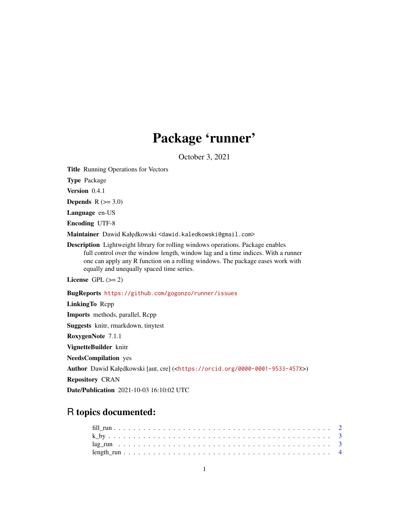## Package 'runner'

October 3, 2021

<span id="page-0-0"></span>Title Running Operations for Vectors

Type Package

Version 0.4.1

**Depends**  $R$  ( $>= 3.0$ )

Language en-US

Encoding UTF-8

Maintainer Dawid Kałędkowski <dawid.kaledkowski@gmail.com>

Description Lightweight library for rolling windows operations. Package enables full control over the window length, window lag and a time indices. With a runner one can apply any R function on a rolling windows. The package eases work with equally and unequally spaced time series.

License GPL  $(>= 2)$ 

BugReports <https://github.com/gogonzo/runner/issues>

LinkingTo Rcpp Imports methods, parallel, Rcpp Suggests knitr, rmarkdown, tinytest RoxygenNote 7.1.1 VignetteBuilder knitr NeedsCompilation yes Author Dawid Kałędkowski [aut, cre] (<<https://orcid.org/0000-0001-9533-457X>>) Repository CRAN Date/Publication 2021-10-03 16:10:02 UTC

## R topics documented: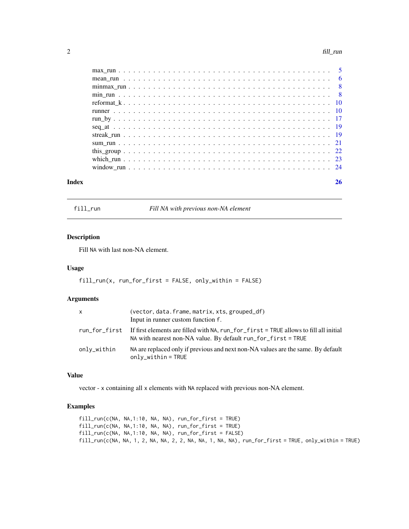#### <span id="page-1-0"></span> $2$  fill\_run

| Index | 26 |
|-------|----|

fill\_run *Fill NA with previous non-NA element*

## Description

Fill NA with last non-NA element.

## Usage

fill\_run(x, run\_for\_first = FALSE, only\_within = FALSE)

#### Arguments

| x           | (vector, data.frame, matrix, xts, grouped_df)<br>Input in runner custom function f.                                                                                          |
|-------------|------------------------------------------------------------------------------------------------------------------------------------------------------------------------------|
|             | run_for_first If first elements are filled with NA, run_for_first = TRUE allows to fill all initial<br>NA with nearest non-NA value. By default $run_f$ for $_f$ inst = TRUE |
| onlv_within | NA are replaced only if previous and next non-NA values are the same. By default<br>$only_within = TRUE$                                                                     |

#### Value

vector - x containing all x elements with NA replaced with previous non-NA element.

```
fill_run(c(NA, NA,1:10, NA, NA), run_for_first = TRUE)
fill_run(c(NA, NA,1:10, NA, NA), run_for_first = TRUE)
fill_run(c(NA, NA,1:10, NA, NA), run_for_first = FALSE)
fill_run(c(NA, NA, 1, 2, NA, NA, 2, 2, NA, NA, 1, NA, NA), run_for_first = TRUE, only_within = TRUE)
```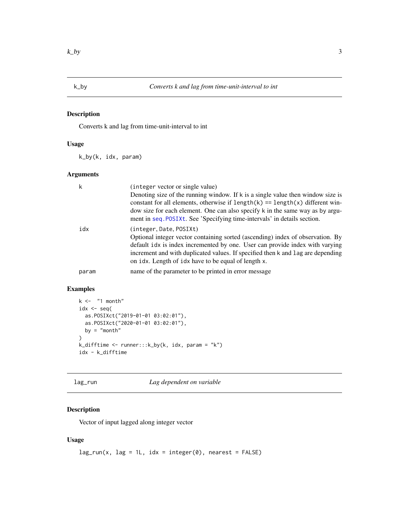<span id="page-2-0"></span>

## Description

Converts k and lag from time-unit-interval to int

## Usage

k\_by(k, idx, param)

#### Arguments

| k     | (integer vector or single value)<br>Denoting size of the running window. If k is a single value then window size is<br>constant for all elements, otherwise if $length(k) == length(x)$ different win-<br>dow size for each element. One can also specify k in the same way as by argu-<br>ment in seq. POSIXt. See 'Specifying time-intervals' in details section. |
|-------|---------------------------------------------------------------------------------------------------------------------------------------------------------------------------------------------------------------------------------------------------------------------------------------------------------------------------------------------------------------------|
| idx   | (integer, Date, POSIXt)<br>Optional integer vector containing sorted (ascending) index of observation. By<br>default idx is index incremented by one. User can provide index with varying<br>increment and with duplicated values. If specified then k and lag are depending<br>on idx. Length of idx have to be equal of length x.                                 |
| param | name of the parameter to be printed in error message                                                                                                                                                                                                                                                                                                                |

## Examples

```
k <- "1 month"
idx \leftarrow seq(as.POSIXct("2019-01-01 03:02:01"),
  as.POSIXct("2020-01-01 03:02:01"),
  by = "month"
\overline{\phantom{a}}k_difftime <- runner:::k_by(k, idx, param = "k")
idx - k_difftime
```
lag\_run *Lag dependent on variable*

## Description

Vector of input lagged along integer vector

## Usage

 $lag_run(x, lag = 1L, idx = integer(0), nearest = FALSE)$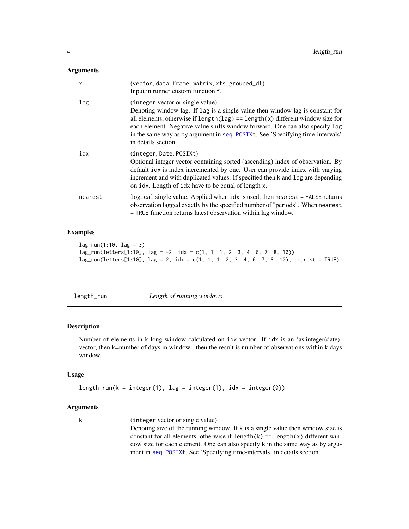#### <span id="page-3-0"></span>Arguments

| $\boldsymbol{\mathsf{x}}$ | (vector, data.frame, matrix, xts, grouped_df)<br>Input in runner custom function f.                                                                                                                                                                                                                                                                                                                  |
|---------------------------|------------------------------------------------------------------------------------------------------------------------------------------------------------------------------------------------------------------------------------------------------------------------------------------------------------------------------------------------------------------------------------------------------|
| lag                       | (integer vector or single value)<br>Denoting window lag. If lag is a single value then window lag is constant for<br>all elements, otherwise if $length(\text{lag}) == length(x)$ different window size for<br>each element. Negative value shifts window forward. One can also specify lag<br>in the same way as by argument in seq. POSIXt. See 'Specifying time-intervals'<br>in details section. |
| idx                       | (integer, Date, POSIXt)<br>Optional integer vector containing sorted (ascending) index of observation. By<br>default idx is index incremented by one. User can provide index with varying<br>increment and with duplicated values. If specified then k and lag are depending<br>on idx. Length of idx have to be equal of length x.                                                                  |
| nearest                   | logical single value. Applied when idx is used, then nearest = FALSE returns<br>observation lagged exactly by the specified number of "periods". When nearest<br>= TRUE function returns latest observation within lag window.                                                                                                                                                                       |

## Examples

```
lag_run(1:10, lag = 3)lag_run(letters[1:10], lag = -2, idx = c(1, 1, 1, 2, 3, 4, 6, 7, 8, 10))
lag_run(leters[1:10], lag = 2, idx = c(1, 1, 1, 2, 3, 4, 6, 7, 8, 10), nearest = TRUE)
```
length\_run *Length of running windows*

## Description

Number of elements in k-long window calculated on idx vector. If idx is an 'as.integer(date)' vector, then k=number of days in window - then the result is number of observations within k days window.

## Usage

```
length_run(k = integer(1), lag = integer(1), idx = integer(0))
```
## Arguments

k (integer vector or single value)

Denoting size of the running window. If k is a single value then window size is constant for all elements, otherwise if  $length(k) == length(x)$  different window size for each element. One can also specify k in the same way as by argument in [seq.POSIXt](#page-0-0). See 'Specifying time-intervals' in details section.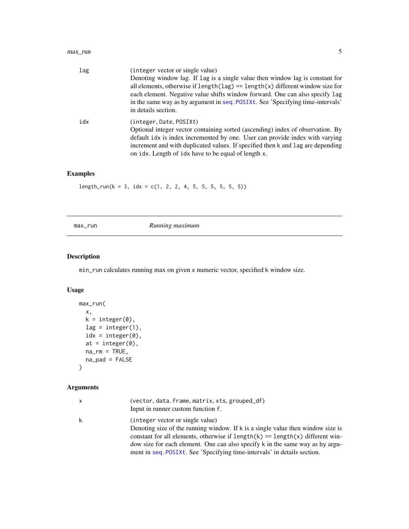<span id="page-4-0"></span>

| lag | (integer vector or single value)                                                       |
|-----|----------------------------------------------------------------------------------------|
|     | Denoting window lag. If lag is a single value then window lag is constant for          |
|     | all elements, otherwise if $length(\text{lag}) == length(x)$ different window size for |
|     | each element. Negative value shifts window forward. One can also specify lag           |
|     | in the same way as by argument in seq. POSIXt. See 'Specifying time-intervals'         |
|     | in details section.                                                                    |
| idx | (integer, Date, POSIX)                                                                 |
|     | Optional integer vector containing sorted (ascending) index of observation. By         |
|     | default idx is index incremented by one. User can provide index with varying           |
|     | increment and with duplicated values. If specified then k and lag are depending        |
|     | on idx. Length of idx have to be equal of length x.                                    |

## Examples

 $length_run(k = 3, idx = c(1, 2, 2, 4, 5, 5, 5, 5, 5))$ 

max\_run *Running maximum*

## Description

min\_run calculates running max on given x numeric vector, specified k window size.

## Usage

```
max_run(
  x,
  k = integer(0),
  lag = integer(1),
  idx = integer(0),
  at = integer(0),
  na\_rm = TRUE,na_pad = FALSE
)
```

| x | (vector, data.frame, matrix, xts, grouped_df)<br>Input in runner custom function f.                                                                                                                      |
|---|----------------------------------------------------------------------------------------------------------------------------------------------------------------------------------------------------------|
| k | (integer vector or single value)<br>Denoting size of the running window. If $k$ is a single value then window size is<br>constant for all elements, otherwise if $length(k) == length(x)$ different win- |
|   | dow size for each element. One can also specify k in the same way as by argu-                                                                                                                            |
|   | ment in seq. POSIXt. See 'Specifying time-intervals' in details section.                                                                                                                                 |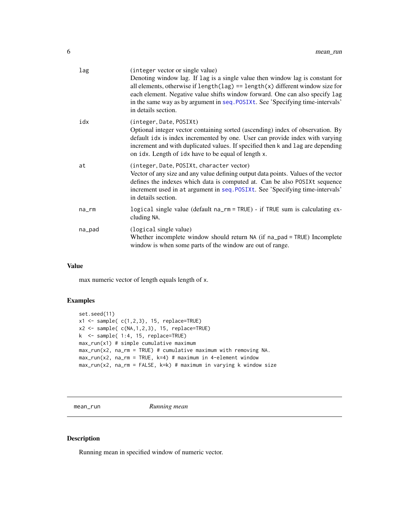<span id="page-5-0"></span>

| lag    | (integer vector or single value)<br>Denoting window lag. If lag is a single value then window lag is constant for<br>all elements, otherwise if $length(\text{lag}) == length(x)$ different window size for<br>each element. Negative value shifts window forward. One can also specify lag<br>in the same way as by argument in seq. POSIXt. See 'Specifying time-intervals'<br>in details section. |
|--------|------------------------------------------------------------------------------------------------------------------------------------------------------------------------------------------------------------------------------------------------------------------------------------------------------------------------------------------------------------------------------------------------------|
| idx    | (integer, Date, POSIXt)<br>Optional integer vector containing sorted (ascending) index of observation. By<br>default idx is index incremented by one. User can provide index with varying<br>increment and with duplicated values. If specified then k and lag are depending<br>on idx. Length of idx have to be equal of length x.                                                                  |
| at     | (integer, Date, POSIXt, character vector)<br>Vector of any size and any value defining output data points. Values of the vector<br>defines the indexes which data is computed at. Can be also POSIXt sequence<br>increment used in at argument in seq. POSIXt. See 'Specifying time-intervals'<br>in details section.                                                                                |
| na_rm  | logical single value (default na_rm = TRUE) - if TRUE sum is calculating ex-<br>cluding NA.                                                                                                                                                                                                                                                                                                          |
| na_pad | (logical single value)<br>Whether incomplete window should return NA (if na_pad = TRUE) Incomplete<br>window is when some parts of the window are out of range.                                                                                                                                                                                                                                      |

max numeric vector of length equals length of x.

## Examples

```
set.seed(11)
x1 \leftarrow sample( c(1,2,3), 15, replace=TRUE)
x2 \leq - sample(c(NA, 1, 2, 3), 15, replace=TRUE)
k <- sample( 1:4, 15, replace=TRUE)
max_run(x1) # simple cumulative maximum
max_run(x2, na_rm = TRUE) # cumulative maximum with removing NA.
max_run(x2, na_rm = TRUE, k=4) # maximum in 4-element window
max_run(x2, na_rm = FALSE, k=k) # maximum in varying k window size
```
mean\_run *Running mean*

#### Description

Running mean in specified window of numeric vector.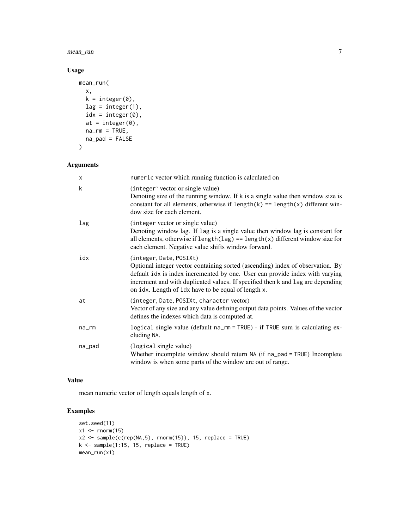mean\_run 7

## Usage

```
mean_run(
  x,
  k = integer(0),
  lag = integer(1),
  idx = integer(0),
  at = integer(0),
  na\_rm = TRUE,na_pad = FALSE
\mathcal{E}
```
## Arguments

| X           | numeric vector which running function is calculated on                                                                                                                                                                                                                                                                              |
|-------------|-------------------------------------------------------------------------------------------------------------------------------------------------------------------------------------------------------------------------------------------------------------------------------------------------------------------------------------|
| k           | (integer' vector or single value)<br>Denoting size of the running window. If k is a single value then window size is<br>constant for all elements, otherwise if $length(k) == length(x)$ different win-<br>dow size for each element.                                                                                               |
| lag         | (integer vector or single value)<br>Denoting window lag. If lag is a single value then window lag is constant for<br>all elements, otherwise if $length(\text{lag}) == length(x)$ different window size for<br>each element. Negative value shifts window forward.                                                                  |
| idx         | (integer, Date, POSIXt)<br>Optional integer vector containing sorted (ascending) index of observation. By<br>default idx is index incremented by one. User can provide index with varying<br>increment and with duplicated values. If specified then k and lag are depending<br>on idx. Length of idx have to be equal of length x. |
| at          | (integer, Date, POSIXt, character vector)<br>Vector of any size and any value defining output data points. Values of the vector<br>defines the indexes which data is computed at.                                                                                                                                                   |
| $na$ _ $rm$ | logical single value (default na_rm = TRUE) - if TRUE sum is calculating ex-<br>cluding NA.                                                                                                                                                                                                                                         |
| na_pad      | (logical single value)<br>Whether incomplete window should return NA (if na_pad = TRUE) Incomplete<br>window is when some parts of the window are out of range.                                                                                                                                                                     |

## Value

mean numeric vector of length equals length of x.

```
set.seed(11)
x1 \leftarrow \text{rnorm}(15)x2 \leq sample(c(rep(NA,5), rnorm(15)), 15, replace = TRUE)
k \leq - sample(1:15, 15, replace = TRUE)
mean_run(x1)
```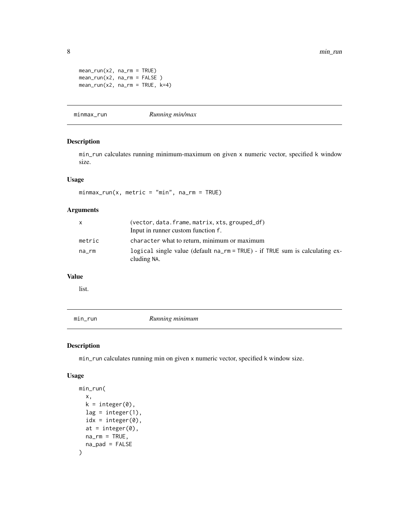```
mean_run(x2, na_rm = TRUE)mean_run(x2, na_rm = FALSE )
mean_run(x2, na_rm = TRUE, k=4)
```
minmax\_run *Running min/max*

## Description

min\_run calculates running minimum-maximum on given x numeric vector, specified k window size.

## Usage

 $minmax_rum(x, metric = "min", na_rmm = TRUE)$ 

## Arguments

|        | (vector, data.frame, matrix, xts, grouped_df)<br>Input in runner custom function f.            |
|--------|------------------------------------------------------------------------------------------------|
| metric | character what to return, minimum or maximum                                                   |
| na rm  | logical single value (default $na-rm = TRUE$ ) - if TRUE sum is calculating ex-<br>cluding NA. |

#### Value

list.

min\_run *Running minimum*

### Description

min\_run calculates running min on given x numeric vector, specified k window size.

#### Usage

```
min_run(
  x,
  k = integer(0),
  lag = integer(1),
  idx = integer(0),
  at = integer(0),
  na\_rm = TRUE,na_pad = FALSE
\mathcal{E}
```
<span id="page-7-0"></span>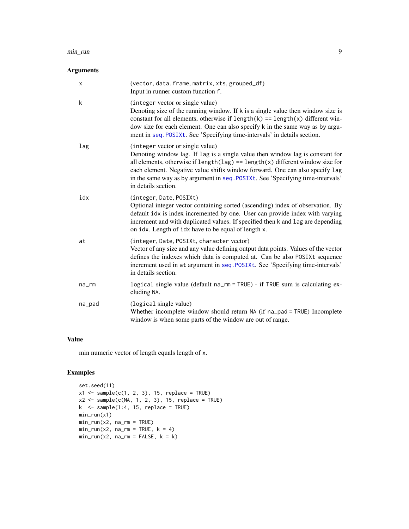#### <span id="page-8-0"></span>min\_run 9

## Arguments

| X      | (vector, data.frame, matrix, xts, grouped_df)<br>Input in runner custom function f.                                                                                                                                                                                                                                                                                                                  |
|--------|------------------------------------------------------------------------------------------------------------------------------------------------------------------------------------------------------------------------------------------------------------------------------------------------------------------------------------------------------------------------------------------------------|
| k      | (integer vector or single value)<br>Denoting size of the running window. If k is a single value then window size is<br>constant for all elements, otherwise if $length(k) == length(x)$ different win-<br>dow size for each element. One can also specify k in the same way as by argu-<br>ment in seq. POSIXt. See 'Specifying time-intervals' in details section.                                  |
| lag    | (integer vector or single value)<br>Denoting window lag. If lag is a single value then window lag is constant for<br>all elements, otherwise if $length(\text{lag}) == length(x)$ different window size for<br>each element. Negative value shifts window forward. One can also specify lag<br>in the same way as by argument in seq. POSIXt. See 'Specifying time-intervals'<br>in details section. |
| idx    | (integer, Date, POSIXt)<br>Optional integer vector containing sorted (ascending) index of observation. By<br>default idx is index incremented by one. User can provide index with varying<br>increment and with duplicated values. If specified then k and lag are depending<br>on idx. Length of idx have to be equal of length x.                                                                  |
| at     | (integer, Date, POSIXt, character vector)<br>Vector of any size and any value defining output data points. Values of the vector<br>defines the indexes which data is computed at. Can be also POSIXt sequence<br>increment used in at argument in seq. POSIXt. See 'Specifying time-intervals'<br>in details section.                                                                                |
| na_rm  | logical single value (default na_rm = TRUE) - if TRUE sum is calculating ex-<br>cluding NA.                                                                                                                                                                                                                                                                                                          |
| na_pad | (logical single value)<br>Whether incomplete window should return NA (if na_pad = TRUE) Incomplete<br>window is when some parts of the window are out of range.                                                                                                                                                                                                                                      |

## Value

min numeric vector of length equals length of x.

```
set.seed(11)
x1 \leftarrow sample(c(1, 2, 3), 15, replace = TRUE)
x2 \leq same sample(c(NA, 1, 2, 3), 15, replace = TRUE)
k <- sample(1:4, 15, replace = TRUE)
min_run(x1)
min\_run(x2, na\_rm = TRUE)min_rum(x2, na_rmm = TRUE, k = 4)min_rum(x2, na_rmm = FALSE, k = k)
```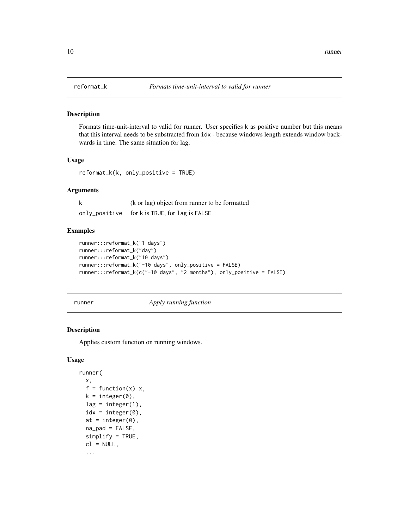<span id="page-9-0"></span>

#### Description

Formats time-unit-interval to valid for runner. User specifies k as positive number but this means that this interval needs to be substracted from idx - because windows length extends window backwards in time. The same situation for lag.

#### Usage

reformat\_k(k, only\_positive = TRUE)

#### Arguments

| k | (k or lag) object from runner to be formatted |
|---|-----------------------------------------------|
|   | only_positive for k is TRUE, for lag is FALSE |

### Examples

```
runner:::reformat_k("1 days")
runner:::reformat_k("day")
runner:::reformat_k("10 days")
runner:::reformat_k("-10 days", only_positive = FALSE)
runner:::reformat_k(c("-10 days", "2 months"), only_positive = FALSE)
```
<span id="page-9-1"></span>runner *Apply running function*

## Description

Applies custom function on running windows.

## Usage

```
runner(
  x,
  f = function(x) x,k = integer(0),
  lag = integer(1),
  idx = integer(0),
  at = integer(0),
  napad = FALSE,
  simplify = TRUE,
  cl = NULL,...
```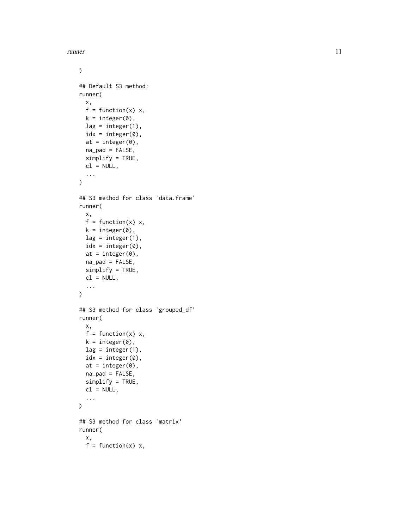runner and the set of the set of the set of the set of the set of the set of the set of the set of the set of the set of the set of the set of the set of the set of the set of the set of the set of the set of the set of th

```
\mathcal{L}## Default S3 method:
runner(
 x,
 f = function(x) x,k = integer(0),
 lag = integer(1),
  idx = integer(0),
  at = integer(0),
 napad = FALSE,
  simplify = TRUE,
 cl = NULL,...
)
## S3 method for class 'data.frame'
runner(
 x,
 f = function(x) x,k = integer(0),
  lag = integer(1),
  idx = integer(0),
  at = integer(0),
 na<sub>-pad</sub> = FALSE,
  simplify = TRUE,
  cl = NULL,...
\mathcal{E}## S3 method for class 'grouped_df'
runner(
  x,
 f = function(x) x,k = integer(0),
 lag = integer(1),
  idx = integer(0),
  at = integer(0),
  napad = FALSE,
  simplify = TRUE,
  cl = NULL,...
\mathcal{L}## S3 method for class 'matrix'
runner(
 x,
 f = function(x) x,
```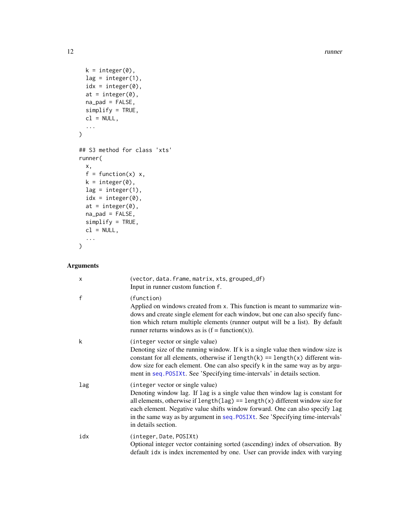12 runner

```
k = integer(0),
 lag = integer(1),
 idx = integer(0),
 at = integer(0),
 na_pad = FALSE,
 simplify = TRUE,
 cl = NULL,...
\mathcal{L}## S3 method for class 'xts'
runner(
 x,
 f = function(x) x,k = integer(0),
 lag = integer(1),
 idx = integer(0),
 at = integer(0),
 napad = FALSE,
 simplify = TRUE,
 cl = NULL,...
\mathcal{L}
```

| $\times$     | (vector, data.frame, matrix, xts, grouped_df)<br>Input in runner custom function f.                                                                                                                                                                                                                                                                                                                  |
|--------------|------------------------------------------------------------------------------------------------------------------------------------------------------------------------------------------------------------------------------------------------------------------------------------------------------------------------------------------------------------------------------------------------------|
| $\mathsf{f}$ | (function)<br>Applied on windows created from x. This function is meant to summarize win-<br>dows and create single element for each window, but one can also specify func-<br>tion which return multiple elements (runner output will be a list). By default<br>runner returns windows as is $(f = function(x))$ .                                                                                  |
| k            | (integer vector or single value)<br>Denoting size of the running window. If k is a single value then window size is<br>constant for all elements, otherwise if $length(k) == length(x)$ different win-<br>dow size for each element. One can also specify k in the same way as by argu-<br>ment in seq. POSIXt. See 'Specifying time-intervals' in details section.                                  |
| lag          | (integer vector or single value)<br>Denoting window lag. If lag is a single value then window lag is constant for<br>all elements, otherwise if $length(\text{lag}) == length(x)$ different window size for<br>each element. Negative value shifts window forward. One can also specify lag<br>in the same way as by argument in seq. POSIXt. See 'Specifying time-intervals'<br>in details section. |
| idx          | (integer, Date, POSIXt)<br>Optional integer vector containing sorted (ascending) index of observation. By<br>default idx is index incremented by one. User can provide index with varying                                                                                                                                                                                                            |

<span id="page-11-0"></span>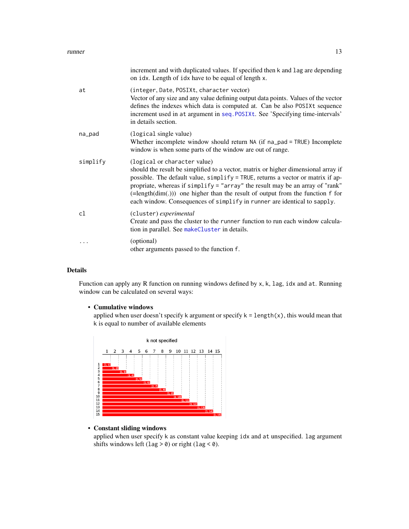#### <span id="page-12-0"></span>runner and the set of the set of the set of the set of the set of the set of the set of the set of the set of the set of the set of the set of the set of the set of the set of the set of the set of the set of the set of th

|          | increment and with duplicated values. If specified then k and lag are depending<br>on idx. Length of idx have to be equal of length x.                                                                                                                                                                                                                                                                                                                        |
|----------|---------------------------------------------------------------------------------------------------------------------------------------------------------------------------------------------------------------------------------------------------------------------------------------------------------------------------------------------------------------------------------------------------------------------------------------------------------------|
| at       | (integer, Date, POSIXt, character vector)<br>Vector of any size and any value defining output data points. Values of the vector<br>defines the indexes which data is computed at. Can be also POSIXt sequence<br>increment used in at argument in seq. POSIXt. See 'Specifying time-intervals'<br>in details section.                                                                                                                                         |
| na_pad   | (logical single value)<br>Whether incomplete window should return NA (if na_pad = TRUE) Incomplete<br>window is when some parts of the window are out of range.                                                                                                                                                                                                                                                                                               |
| simplify | (logical or character value)<br>should the result be simplified to a vector, matrix or higher dimensional array if<br>possible. The default value, simplify = TRUE, returns a vector or matrix if ap-<br>propriate, whereas if simplify = "array" the result may be an array of "rank"<br>$(=\text{length}(dim(.)))$ one higher than the result of output from the function f for<br>each window. Consequences of simplify in runner are identical to sapply. |
| cl       | (cluster) experimental<br>Create and pass the cluster to the runner function to run each window calcula-<br>tion in parallel. See makeCluster in details.                                                                                                                                                                                                                                                                                                     |
|          | (optional)<br>other arguments passed to the function f.                                                                                                                                                                                                                                                                                                                                                                                                       |

### Details

Function can apply any R function on running windows defined by x, k, lag, idx and at. Running window can be calculated on several ways:

#### • Cumulative windows

applied when user doesn't specify k argument or specify  $k = length(x)$ , this would mean that k is equal to number of available elements



## • Constant sliding windows

applied when user specify k as constant value keeping idx and at unspecified. lag argument shifts windows left (lag  $>$  0) or right (lag  $<$  0).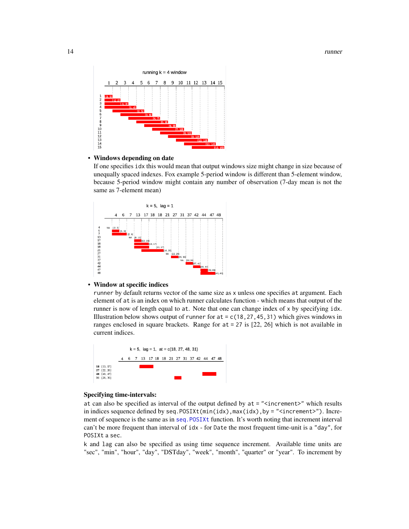#### <span id="page-13-0"></span>14 runner



#### • Windows depending on date

If one specifies idx this would mean that output windows size might change in size because of unequally spaced indexes. Fox example 5-period window is different than 5-element window, because 5-period window might contain any number of observation (7-day mean is not the same as 7-element mean)



#### • Window at specific indices

runner by default returns vector of the same size as x unless one specifies at argument. Each element of at is an index on which runner calculates function - which means that output of the runner is now of length equal to at. Note that one can change index of x by specifying idx. Illustration below shows output of runner for at  $= c(18, 27, 45, 31)$  which gives windows in ranges enclosed in square brackets. Range for at = 27 is [22, 26] which is not available in current indices.



#### Specifying time-intervals:

at can also be specified as interval of the output defined by at = "<increment>" which results in indices sequence defined by seq.  $POSIXt(min(idx),max(idx),by = " Incre$ ment of sequence is the same as in [seq.POSIXt](#page-0-0) function. It's worth noting that increment interval can't be more frequent than interval of idx - for Date the most frequent time-unit is a "day", for POSIXt a sec.

k and lag can also be specified as using time sequence increment. Available time units are "sec", "min", "hour", "day", "DSTday", "week", "month", "quarter" or "year". To increment by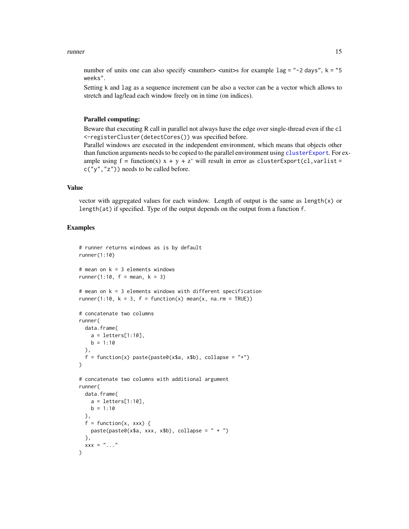#### <span id="page-14-0"></span>runner and the set of the set of the set of the set of the set of the set of the set of the set of the set of the set of the set of the set of the set of the set of the set of the set of the set of the set of the set of th

number of units one can also specify  $\langle$ number $\rangle$   $\langle$ unit $\rangle$ s for example  $\langle$ lag = "-2 days", k = "5 weeks".

Setting k and lag as a sequence increment can be also a vector can be a vector which allows to stretch and lag/lead each window freely on in time (on indices).

#### Parallel computing:

Beware that executing R call in parallel not always have the edge over single-thread even if the cl <-registerCluster(detectCores()) was specified before.

Parallel windows are executed in the independent environment, which means that objects other than function arguments needs to be copied to the parallel environment using [clusterExport](#page-0-0). For example using  $f = function(x)$   $x + y + z'$  will result in error as clusterExport(cl, varlist = c("y","z")) needs to be called before.

### Value

vector with aggregated values for each window. Length of output is the same as length(x) or length(at) if specified. Type of the output depends on the output from a function f.

```
# runner returns windows as is by default
runner(1:10)
# mean on k = 3 elements windows
runner(1:10, f = \text{mean}, k = 3)# mean on k = 3 elements windows with different specification
runner(1:10, k = 3, f = function(x) mean(x, na.rm = TRUE))
# concatenate two columns
runner(
 data.frame(
   a = letters[1:10],b = 1:10),
 f = function(x) paste(paste0(x$a, x$b), collapse = "+")
)
# concatenate two columns with additional argument
runner(
 data.frame(
   a = letters[1:10],b = 1:10),
 f = function(x, xxx) {
   paste(paste0(x\a, xxx, x\b), collapse = " + ")
 },
 xxx = "...")
```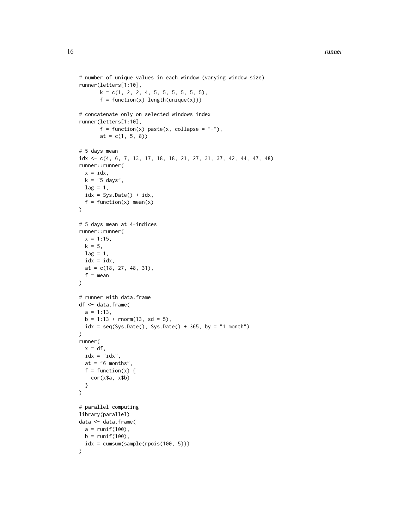```
# number of unique values in each window (varying window size)
runner(letters[1:10],
       k = c(1, 2, 2, 4, 5, 5, 5, 5, 5, 5),
       f = function(x) length(unique(x)))# concatenate only on selected windows index
runner(letters[1:10],
       f = function(x) paste(x, collapse = "-"),
       at = c(1, 5, 8)# 5 days mean
idx <- c(4, 6, 7, 13, 17, 18, 18, 21, 27, 31, 37, 42, 44, 47, 48)
runner::runner(
  x = idx,k = "5 days",lag = 1,idx = Sys.DataFrame() + idx,f = function(x) mean(x)
)
# 5 days mean at 4-indices
runner::runner(
  x = 1:15,
  k = 5,lag = 1,idx = idx,at = c(18, 27, 48, 31),
  f = mean\mathcal{L}# runner with data.frame
df <- data.frame(
  a = 1:13,
  b = 1:13 + \text{rnorm}(13, \text{sd} = 5),idx = seq(Sys.Date(), Sys.Date() + 365, by = "1 month")\lambdarunner(
  x = df,
  idx = "idx",at = "6 months",
  f = function(x) {
    cor(x$a, x$b)
  }
\mathcal{L}# parallel computing
library(parallel)
data <- data.frame(
  a = runif(100),
  b = runif(100),
  idx = cumsum(sample(rpois(100, 5)))
\mathcal{L}
```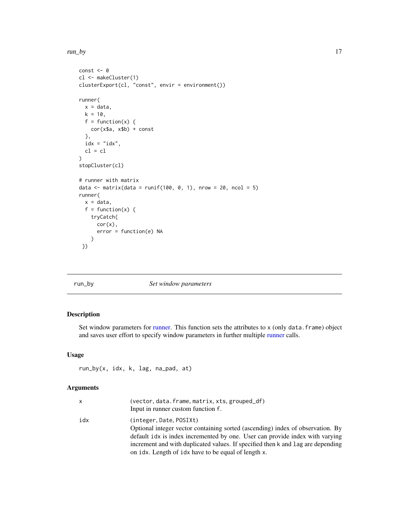<span id="page-16-0"></span>run\_by the contract of the contract of the contract of the contract of the contract of the contract of the contract of the contract of the contract of the contract of the contract of the contract of the contract of the con

```
const <- 0
cl <- makeCluster(1)
clusterExport(cl, "const", envir = environment())
runner(
  x = data,k = 10,
  f = function(x) {
    cor(x$a, x$b) + const
  },
  idx = "idx",cl = cl
\mathcal{L}stopCluster(cl)
# runner with matrix
data \le matrix(data = runif(100, 0, 1), nrow = 20, ncol = 5)
runner(
  x = data,f = function(x) {
    tryCatch(
     cor(x),
      error = function(e) NA
    )
 })
```
#### run\_by *Set window parameters*

## Description

Set window parameters for [runner.](#page-9-1) This function sets the attributes to x (only data.frame) object and saves user effort to specify window parameters in further multiple [runner](#page-9-1) calls.

#### Usage

```
run_by(x, idx, k, lag, na_pad, at)
```

| x   | (vector, data.frame, matrix, xts, grouped_df)<br>Input in runner custom function f.                                                                                                                                                                                                                                                |
|-----|------------------------------------------------------------------------------------------------------------------------------------------------------------------------------------------------------------------------------------------------------------------------------------------------------------------------------------|
| idx | (integer, Date, POSIX)<br>Optional integer vector containing sorted (ascending) index of observation. By<br>default idx is index incremented by one. User can provide index with varying<br>increment and with duplicated values. If specified then k and lag are depending<br>on idx. Length of idx have to be equal of length x. |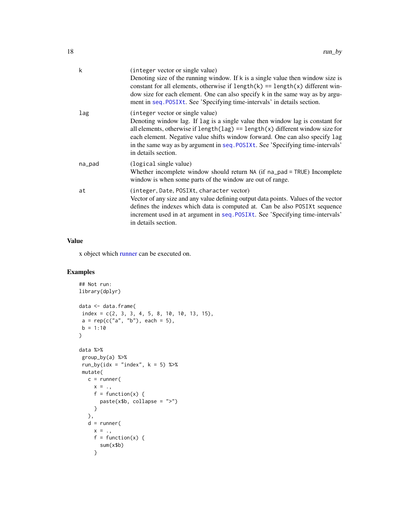<span id="page-17-0"></span>

| k      | (integer vector or single value)<br>Denoting size of the running window. If k is a single value then window size is<br>constant for all elements, otherwise if $length(k) == length(x)$ different win-<br>dow size for each element. One can also specify k in the same way as by argu-<br>ment in seq. POSIXt. See 'Specifying time-intervals' in details section.                                  |
|--------|------------------------------------------------------------------------------------------------------------------------------------------------------------------------------------------------------------------------------------------------------------------------------------------------------------------------------------------------------------------------------------------------------|
| lag    | (integer vector or single value)<br>Denoting window lag. If lag is a single value then window lag is constant for<br>all elements, otherwise if $length(\text{lag}) == length(x)$ different window size for<br>each element. Negative value shifts window forward. One can also specify lag<br>in the same way as by argument in seq. POSIXt. See 'Specifying time-intervals'<br>in details section. |
| na_pad | (logical single value)<br>Whether incomplete window should return NA (if na_pad = TRUE) Incomplete<br>window is when some parts of the window are out of range.                                                                                                                                                                                                                                      |
| at     | (integer, Date, POSIXt, character vector)<br>Vector of any size and any value defining output data points. Values of the vector<br>defines the indexes which data is computed at. Can be also POSIXt sequence<br>increment used in at argument in seq. POSIXt. See 'Specifying time-intervals'<br>in details section.                                                                                |

x object which [runner](#page-9-1) can be executed on.

```
## Not run:
library(dplyr)
data <- data.frame(
index = c(2, 3, 3, 4, 5, 8, 10, 10, 13, 15),
a = \text{rep}(c("a", "b"), each = 5),
b = 1:10\mathcal{L}data %>%
group_by(a) %>%
run_by(idx = "index", k = 5) %>%
mutate(
   c = runner(
     x = .f = function(x) {
       paste(x$b, collapse = ">")}
   ),
   d = runner(
    x = .f = function(x) {
       sum(x$b)
     }
```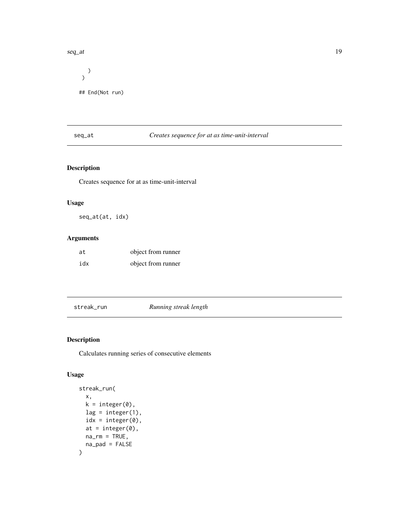#### <span id="page-18-0"></span>seq\_at 19

)  $\mathcal{L}$ ## End(Not run)

## seq\_at *Creates sequence for at as time-unit-interval*

## Description

Creates sequence for at as time-unit-interval

## Usage

seq\_at(at, idx)

## Arguments

| at  | object from runner |
|-----|--------------------|
| idx | object from runner |

streak\_run *Running streak length*

## Description

Calculates running series of consecutive elements

## Usage

```
streak_run(
  x,
  k = integer(0),
  lag = integer(1),
  idx = integer(0),
  at = integer(0),
  na\_rm = TRUE,na_pad = FALSE
\mathcal{E}
```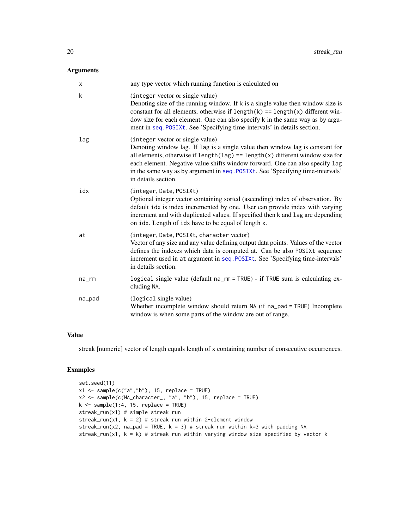#### <span id="page-19-0"></span>Arguments

| X           | any type vector which running function is calculated on                                                                                                                                                                                                                                                                                                                                              |
|-------------|------------------------------------------------------------------------------------------------------------------------------------------------------------------------------------------------------------------------------------------------------------------------------------------------------------------------------------------------------------------------------------------------------|
| k           | (integer vector or single value)<br>Denoting size of the running window. If k is a single value then window size is<br>constant for all elements, otherwise if $length(k) == length(x)$ different win-<br>dow size for each element. One can also specify k in the same way as by argu-<br>ment in seq. POSIXt. See 'Specifying time-intervals' in details section.                                  |
| lag         | (integer vector or single value)<br>Denoting window lag. If lag is a single value then window lag is constant for<br>all elements, otherwise if $length(\text{lag}) == length(x)$ different window size for<br>each element. Negative value shifts window forward. One can also specify lag<br>in the same way as by argument in seq. POSIXt. See 'Specifying time-intervals'<br>in details section. |
| idx         | (integer, Date, POSIXt)<br>Optional integer vector containing sorted (ascending) index of observation. By<br>default idx is index incremented by one. User can provide index with varying<br>increment and with duplicated values. If specified then k and lag are depending<br>on idx. Length of idx have to be equal of length x.                                                                  |
| at          | (integer, Date, POSIXt, character vector)<br>Vector of any size and any value defining output data points. Values of the vector<br>defines the indexes which data is computed at. Can be also POSIXt sequence<br>increment used in at argument in seq. POSIXt. See 'Specifying time-intervals'<br>in details section.                                                                                |
| $na$ _ $rm$ | logical single value (default na_rm = TRUE) - if TRUE sum is calculating ex-<br>cluding NA.                                                                                                                                                                                                                                                                                                          |
| na_pad      | (logical single value)<br>Whether incomplete window should return NA (if na_pad = TRUE) Incomplete<br>window is when some parts of the window are out of range.                                                                                                                                                                                                                                      |

#### Value

streak [numeric] vector of length equals length of x containing number of consecutive occurrences.

```
set.seed(11)
x1 \leftarrow sample(c("a","b"), 15, replace = TRUE)
x2 <- sample(c(NA_character_, "a", "b"), 15, replace = TRUE)
k \leq - sample(1:4, 15, replace = TRUE)
streak_run(x1) # simple streak run
streak_run(x1, k = 2) # streak run within 2-element window
streak_run(x2, na_pad = TRUE, k = 3) # streak run within k=3 with padding NA
streak_run(x1, k = k) # streak run within varying window size specified by vector k
```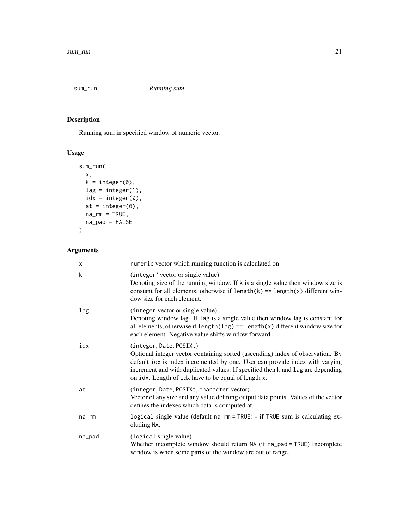<span id="page-20-0"></span>

## Description

Running sum in specified window of numeric vector.

## Usage

```
sum_run(
 x,
 k = integer(0),
 lag = integer(1),
 idx = integer(0),
 at = integer(0),
 na\_rm = TRUE,na_pad = FALSE)
```

| x      | numeric vector which running function is calculated on                                                                                                                                                                                                                                                                              |
|--------|-------------------------------------------------------------------------------------------------------------------------------------------------------------------------------------------------------------------------------------------------------------------------------------------------------------------------------------|
| k      | (integer' vector or single value)<br>Denoting size of the running window. If $k$ is a single value then window size is<br>constant for all elements, otherwise if $length(k) == length(x)$ different win-<br>dow size for each element.                                                                                             |
| lag    | (integer vector or single value)<br>Denoting window lag. If lag is a single value then window lag is constant for<br>all elements, otherwise if $length(\text{lag}) == length(x)$ different window size for<br>each element. Negative value shifts window forward.                                                                  |
| idx    | (integer, Date, POSIXt)<br>Optional integer vector containing sorted (ascending) index of observation. By<br>default idx is index incremented by one. User can provide index with varying<br>increment and with duplicated values. If specified then k and lag are depending<br>on idx. Length of idx have to be equal of length x. |
| at     | (integer, Date, POSIXt, character vector)<br>Vector of any size and any value defining output data points. Values of the vector<br>defines the indexes which data is computed at.                                                                                                                                                   |
| na_rm  | logical single value (default na_rm = TRUE) - if TRUE sum is calculating ex-<br>cluding NA.                                                                                                                                                                                                                                         |
| na_pad | (logical single value)<br>Whether incomplete window should return NA (if na_pad = TRUE) Incomplete<br>window is when some parts of the window are out of range.                                                                                                                                                                     |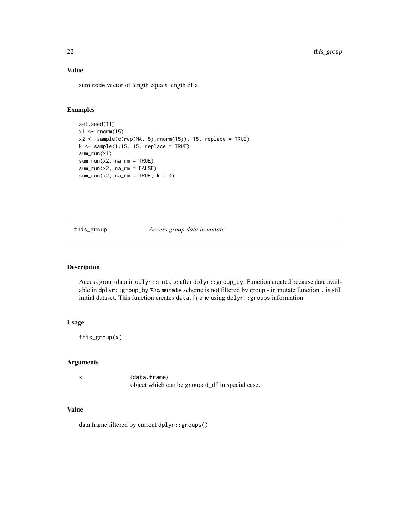sum code vector of length equals length of x.

## Examples

```
set.seed(11)
x1 \leftarrow \text{norm}(15)x2 \leq sample(c(rep(NA, 5), rnorm(15)), 15, replace = TRUE)
k \leq - sample(1:15, 15, replace = TRUE)
sum_run(x1)
sum_run(x2, na_rm = TRUE)
sum_run(x2, na_rm = FALSE)
sum_run(x2, na_rm = TRUE, k = 4)
```
this\_group *Access group data in mutate*

## Description

Access group data in dplyr::mutate after dplyr::group\_by. Function created because data available in dplyr::group\_by %>% mutate scheme is not filtered by group - in mutate function . is still initial dataset. This function creates data.frame using dplyr::groups information.

#### Usage

this\_group(x)

### Arguments

x (data.frame) object which can be grouped\_df in special case.

#### Value

data.frame filtered by current dplyr::groups()

<span id="page-21-0"></span>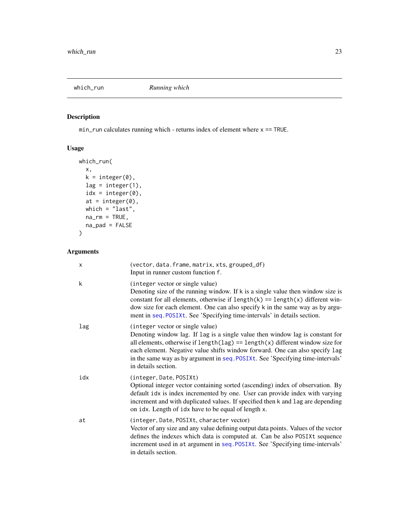<span id="page-22-0"></span>

## Description

min\_run calculates running which - returns index of element where x == TRUE.

## Usage

```
which_run(
 x,
 k = integer(0),
 lag = integer(1),
 idx = integer(0),
 at = integer(0),
 which = "last",na\_rm = TRUE,na_pad = FALSE
)
```

| X   | (vector, data.frame, matrix, xts, grouped_df)<br>Input in runner custom function f.                                                                                                                                                                                                                                                                                                                  |
|-----|------------------------------------------------------------------------------------------------------------------------------------------------------------------------------------------------------------------------------------------------------------------------------------------------------------------------------------------------------------------------------------------------------|
| k   | (integer vector or single value)<br>Denoting size of the running window. If $k$ is a single value then window size is<br>constant for all elements, otherwise if $length(k) == length(x)$ different win-<br>dow size for each element. One can also specify k in the same way as by argu-<br>ment in seq. POSIXt. See 'Specifying time-intervals' in details section.                                |
| lag | (integer vector or single value)<br>Denoting window lag. If lag is a single value then window lag is constant for<br>all elements, otherwise if $length(\text{lag}) == length(x)$ different window size for<br>each element. Negative value shifts window forward. One can also specify lag<br>in the same way as by argument in seq. POSIXt. See 'Specifying time-intervals'<br>in details section. |
| idx | (integer, Date, POSIXt)<br>Optional integer vector containing sorted (ascending) index of observation. By<br>default idx is index incremented by one. User can provide index with varying<br>increment and with duplicated values. If specified then k and lag are depending<br>on idx. Length of idx have to be equal of length x.                                                                  |
| at  | (integer, Date, POSIXt, character vector)<br>Vector of any size and any value defining output data points. Values of the vector<br>defines the indexes which data is computed at. Can be also POSIXt sequence<br>increment used in at argument in seq. POSIXt. See 'Specifying time-intervals'<br>in details section.                                                                                |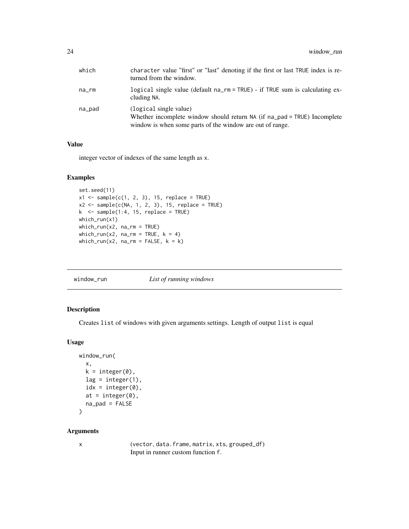<span id="page-23-0"></span>

| which  | character value "first" or "last" denoting if the first or last TRUE index is re-<br>turned from the window.                                                    |
|--------|-----------------------------------------------------------------------------------------------------------------------------------------------------------------|
| na_rm  | logical single value (default na_rm = TRUE) - if TRUE sum is calculating ex-<br>cluding NA.                                                                     |
| na_pad | (logical single value)<br>Whether incomplete window should return NA (if na_pad = TRUE) Incomplete<br>window is when some parts of the window are out of range. |

integer vector of indexes of the same length as x.

#### Examples

```
set.seed(11)
x1 \leftarrow sample(c(1, 2, 3), 15, replace = TRUE)
x2 \leq sample(c(NA, 1, 2, 3), 15, replace = TRUE)
k <- sample(1:4, 15, replace = TRUE)
which_run(x1)
which_run(x2, na_rm = TRUE)
which_run(x2, na_rm = TRUE, k = 4)
which_run(x2, na_rm = FALSE, k = k)
```

|  | window_run | List of running windows |
|--|------------|-------------------------|
|--|------------|-------------------------|

## Description

Creates list of windows with given arguments settings. Length of output list is equal

#### Usage

```
window_run(
 x,
 k = integer(0),
 lag = integer(1),
  idx = integer(0),
 at = integer(0),
 na_pad = FALSE
)
```
#### Arguments

| I |  |
|---|--|

x (vector, data.frame, matrix, xts, grouped\_df) Input in runner custom function f.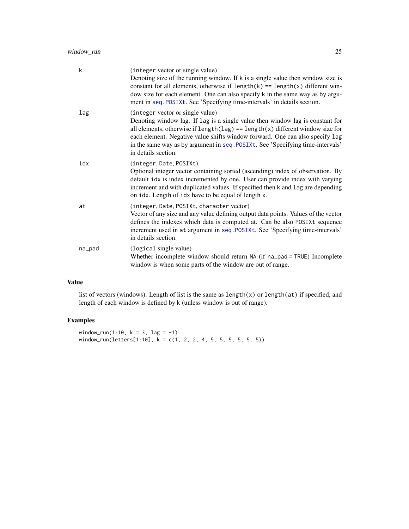<span id="page-24-0"></span>

| k      | (integer vector or single value)<br>Denoting size of the running window. If k is a single value then window size is<br>constant for all elements, otherwise if $length(k) == length(x)$ different win-<br>dow size for each element. One can also specify k in the same way as by argu-<br>ment in seq. POSIXt. See 'Specifying time-intervals' in details section.                                  |
|--------|------------------------------------------------------------------------------------------------------------------------------------------------------------------------------------------------------------------------------------------------------------------------------------------------------------------------------------------------------------------------------------------------------|
| lag    | (integer vector or single value)<br>Denoting window lag. If lag is a single value then window lag is constant for<br>all elements, otherwise if $length(\text{lag}) == length(x)$ different window size for<br>each element. Negative value shifts window forward. One can also specify lag<br>in the same way as by argument in seq. POSIXt. See 'Specifying time-intervals'<br>in details section. |
| idx    | (integer, Date, POSIXt)<br>Optional integer vector containing sorted (ascending) index of observation. By<br>default idx is index incremented by one. User can provide index with varying<br>increment and with duplicated values. If specified then k and lag are depending<br>on idx. Length of idx have to be equal of length x.                                                                  |
| at     | (integer, Date, POSIXt, character vector)<br>Vector of any size and any value defining output data points. Values of the vector<br>defines the indexes which data is computed at. Can be also POSIXt sequence<br>increment used in at argument in seq. POSIXt. See 'Specifying time-intervals'<br>in details section.                                                                                |
| na_pad | (logical single value)<br>Whether incomplete window should return NA (if na_pad = TRUE) Incomplete<br>window is when some parts of the window are out of range.                                                                                                                                                                                                                                      |

list of vectors (windows). Length of list is the same as length(x) or length(at) if specified, and length of each window is defined by k (unless window is out of range).

## Examples

window\_run(1:10,  $k = 3$ ,  $\text{lag} = -1$ )  $window_run(leftters[1:10], k = c(1, 2, 2, 4, 5, 5, 5, 5, 5))$